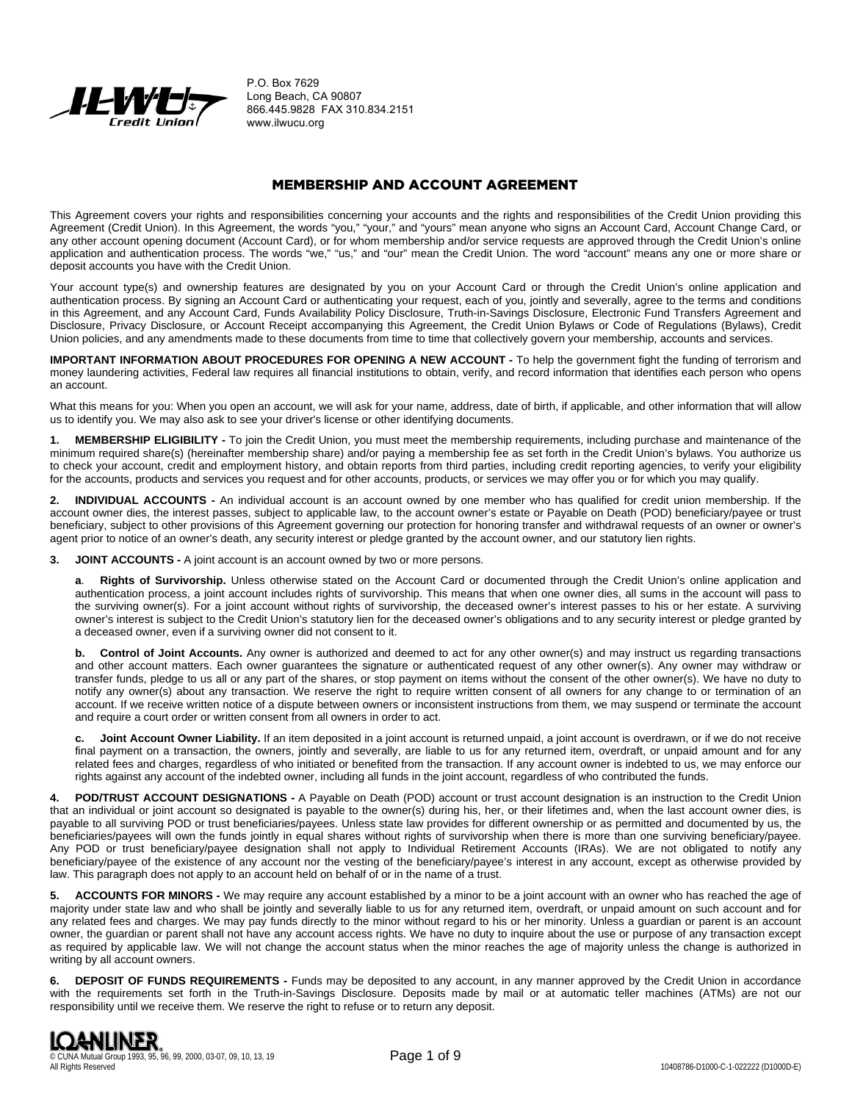

P.O. Box 7629 Long Beach, CA 90807 866.445.9828 FAX 310.834.2151 www.ilwucu.org

# MEMBERSHIP AND ACCOUNT AGREEMENT

This Agreement covers your rights and responsibilities concerning your accounts and the rights and responsibilities of the Credit Union providing this Agreement (Credit Union). In this Agreement, the words "you," "your," and "yours" mean anyone who signs an Account Card, Account Change Card, or any other account opening document (Account Card), or for whom membership and/or service requests are approved through the Credit Union's online application and authentication process. The words "we," "us," and "our" mean the Credit Union. The word "account" means any one or more share or deposit accounts you have with the Credit Union.

Your account type(s) and ownership features are designated by you on your Account Card or through the Credit Union's online application and authentication process. By signing an Account Card or authenticating your request, each of you, jointly and severally, agree to the terms and conditions in this Agreement, and any Account Card, Funds Availability Policy Disclosure, Truth-in-Savings Disclosure, Electronic Fund Transfers Agreement and Disclosure, Privacy Disclosure, or Account Receipt accompanying this Agreement, the Credit Union Bylaws or Code of Regulations (Bylaws), Credit Union policies, and any amendments made to these documents from time to time that collectively govern your membership, accounts and services.

**IMPORTANT INFORMATION ABOUT PROCEDURES FOR OPENING A NEW ACCOUNT -** To help the government fight the funding of terrorism and money laundering activities, Federal law requires all financial institutions to obtain, verify, and record information that identifies each person who opens an account.

What this means for you: When you open an account, we will ask for your name, address, date of birth, if applicable, and other information that will allow us to identify you. We may also ask to see your driver's license or other identifying documents.

**1. MEMBERSHIP ELIGIBILITY -** To join the Credit Union, you must meet the membership requirements, including purchase and maintenance of the minimum required share(s) (hereinafter membership share) and/or paying a membership fee as set forth in the Credit Union's bylaws. You authorize us to check your account, credit and employment history, and obtain reports from third parties, including credit reporting agencies, to verify your eligibility for the accounts, products and services you request and for other accounts, products, or services we may offer you or for which you may qualify.

**2. INDIVIDUAL ACCOUNTS -** An individual account is an account owned by one member who has qualified for credit union membership. If the account owner dies, the interest passes, subject to applicable law, to the account owner's estate or Payable on Death (POD) beneficiary/payee or trust beneficiary, subject to other provisions of this Agreement governing our protection for honoring transfer and withdrawal requests of an owner or owner's agent prior to notice of an owner's death, any security interest or pledge granted by the account owner, and our statutory lien rights.

**3. JOINT ACCOUNTS -** A joint account is an account owned by two or more persons.

**a**. **Rights of Survivorship.** Unless otherwise stated on the Account Card or documented through the Credit Union's online application and authentication process, a joint account includes rights of survivorship. This means that when one owner dies, all sums in the account will pass to the surviving owner(s). For a joint account without rights of survivorship, the deceased owner's interest passes to his or her estate. A surviving owner's interest is subject to the Credit Union's statutory lien for the deceased owner's obligations and to any security interest or pledge granted by a deceased owner, even if a surviving owner did not consent to it.

**b.** Control of Joint Accounts. Any owner is authorized and deemed to act for any other owner(s) and may instruct us regarding transactions and other account matters. Each owner guarantees the signature or authenticated request of any other owner(s). Any owner may withdraw or transfer funds, pledge to us all or any part of the shares, or stop payment on items without the consent of the other owner(s). We have no duty to notify any owner(s) about any transaction. We reserve the right to require written consent of all owners for any change to or termination of an account. If we receive written notice of a dispute between owners or inconsistent instructions from them, we may suspend or terminate the account and require a court order or written consent from all owners in order to act.

**c. Joint Account Owner Liability.** If an item deposited in a joint account is returned unpaid, a joint account is overdrawn, or if we do not receive final payment on a transaction, the owners, jointly and severally, are liable to us for any returned item, overdraft, or unpaid amount and for any related fees and charges, regardless of who initiated or benefited from the transaction. If any account owner is indebted to us, we may enforce our rights against any account of the indebted owner, including all funds in the joint account, regardless of who contributed the funds.

**4. POD/TRUST ACCOUNT DESIGNATIONS -** A Payable on Death (POD) account or trust account designation is an instruction to the Credit Union that an individual or joint account so designated is payable to the owner(s) during his, her, or their lifetimes and, when the last account owner dies, is payable to all surviving POD or trust beneficiaries/payees. Unless state law provides for different ownership or as permitted and documented by us, the beneficiaries/payees will own the funds jointly in equal shares without rights of survivorship when there is more than one surviving beneficiary/payee. Any POD or trust beneficiary/payee designation shall not apply to Individual Retirement Accounts (IRAs). We are not obligated to notify any beneficiary/payee of the existence of any account nor the vesting of the beneficiary/payee's interest in any account, except as otherwise provided by law. This paragraph does not apply to an account held on behalf of or in the name of a trust.

**5. ACCOUNTS FOR MINORS -** We may require any account established by a minor to be a joint account with an owner who has reached the age of majority under state law and who shall be jointly and severally liable to us for any returned item, overdraft, or unpaid amount on such account and for any related fees and charges. We may pay funds directly to the minor without regard to his or her minority. Unless a guardian or parent is an account owner, the guardian or parent shall not have any account access rights. We have no duty to inquire about the use or purpose of any transaction except as required by applicable law. We will not change the account status when the minor reaches the age of majority unless the change is authorized in writing by all account owners.

**6. DEPOSIT OF FUNDS REQUIREMENTS -** Funds may be deposited to any account, in any manner approved by the Credit Union in accordance with the requirements set forth in the Truth-in-Savings Disclosure. Deposits made by mail or at automatic teller machines (ATMs) are not our responsibility until we receive them. We reserve the right to refuse or to return any deposit.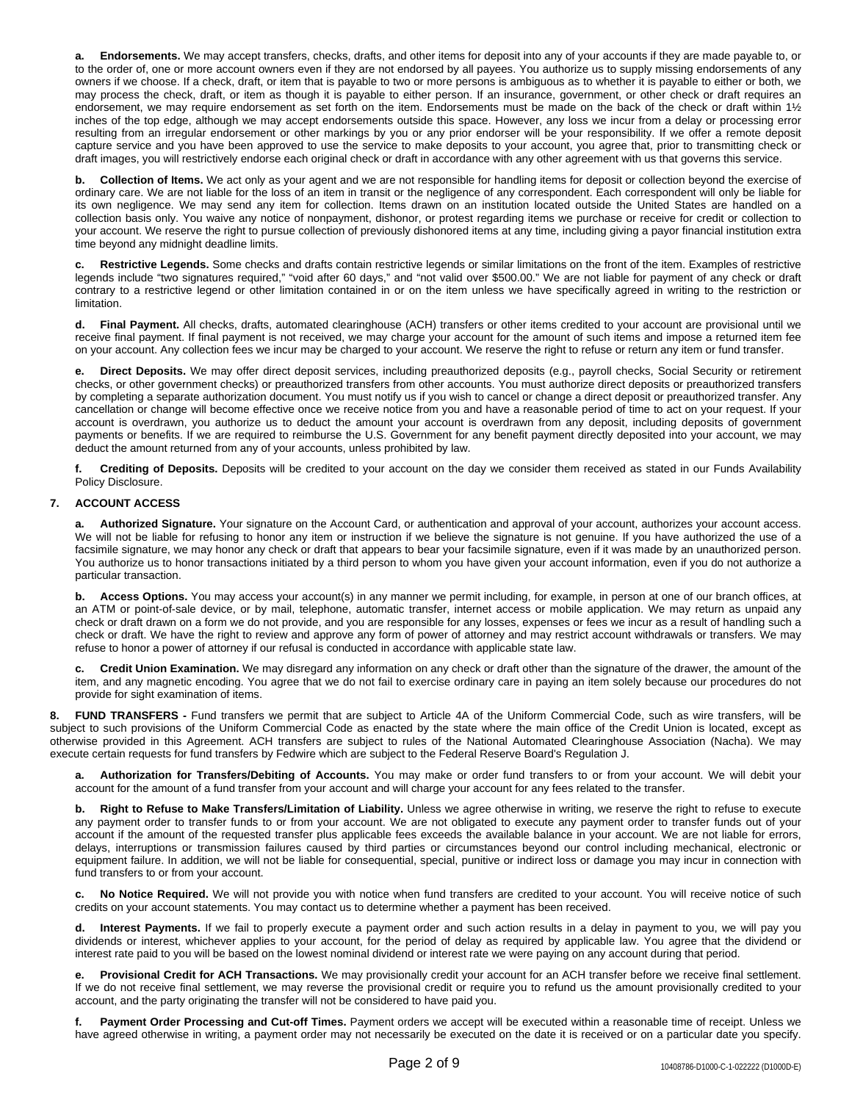**a. Endorsements.** We may accept transfers, checks, drafts, and other items for deposit into any of your accounts if they are made payable to, or to the order of, one or more account owners even if they are not endorsed by all payees. You authorize us to supply missing endorsements of any owners if we choose. If a check, draft, or item that is payable to two or more persons is ambiguous as to whether it is payable to either or both, we may process the check, draft, or item as though it is payable to either person. If an insurance, government, or other check or draft requires an endorsement, we may require endorsement as set forth on the item. Endorsements must be made on the back of the check or draft within 11/2 inches of the top edge, although we may accept endorsements outside this space. However, any loss we incur from a delay or processing error resulting from an irregular endorsement or other markings by you or any prior endorser will be your responsibility. If we offer a remote deposit capture service and you have been approved to use the service to make deposits to your account, you agree that, prior to transmitting check or draft images, you will restrictively endorse each original check or draft in accordance with any other agreement with us that governs this service.

**b. Collection of Items.** We act only as your agent and we are not responsible for handling items for deposit or collection beyond the exercise of ordinary care. We are not liable for the loss of an item in transit or the negligence of any correspondent. Each correspondent will only be liable for its own negligence. We may send any item for collection. Items drawn on an institution located outside the United States are handled on a collection basis only. You waive any notice of nonpayment, dishonor, or protest regarding items we purchase or receive for credit or collection to your account. We reserve the right to pursue collection of previously dishonored items at any time, including giving a payor financial institution extra time beyond any midnight deadline limits.

**c. Restrictive Legends.** Some checks and drafts contain restrictive legends or similar limitations on the front of the item. Examples of restrictive legends include "two signatures required," "void after 60 days," and "not valid over \$500.00." We are not liable for payment of any check or draft contrary to a restrictive legend or other limitation contained in or on the item unless we have specifically agreed in writing to the restriction or **limitation** 

**d. Final Payment.** All checks, drafts, automated clearinghouse (ACH) transfers or other items credited to your account are provisional until we receive final payment. If final payment is not received, we may charge your account for the amount of such items and impose a returned item fee on your account. Any collection fees we incur may be charged to your account. We reserve the right to refuse or return any item or fund transfer.

**e. Direct Deposits.** We may offer direct deposit services, including preauthorized deposits (e.g., payroll checks, Social Security or retirement checks, or other government checks) or preauthorized transfers from other accounts. You must authorize direct deposits or preauthorized transfers by completing a separate authorization document. You must notify us if you wish to cancel or change a direct deposit or preauthorized transfer. Any cancellation or change will become effective once we receive notice from you and have a reasonable period of time to act on your request. If your account is overdrawn, you authorize us to deduct the amount your account is overdrawn from any deposit, including deposits of government payments or benefits. If we are required to reimburse the U.S. Government for any benefit payment directly deposited into your account, we may deduct the amount returned from any of your accounts, unless prohibited by law.

**f. Crediting of Deposits.** Deposits will be credited to your account on the day we consider them received as stated in our Funds Availability Policy Disclosure.

# **7. ACCOUNT ACCESS**

**a. Authorized Signature.** Your signature on the Account Card, or authentication and approval of your account, authorizes your account access. We will not be liable for refusing to honor any item or instruction if we believe the signature is not genuine. If you have authorized the use of a facsimile signature, we may honor any check or draft that appears to bear your facsimile signature, even if it was made by an unauthorized person. You authorize us to honor transactions initiated by a third person to whom you have given your account information, even if you do not authorize a particular transaction.

**b. Access Options.** You may access your account(s) in any manner we permit including, for example, in person at one of our branch offices, at an ATM or point-of-sale device, or by mail, telephone, automatic transfer, internet access or mobile application. We may return as unpaid any check or draft drawn on a form we do not provide, and you are responsible for any losses, expenses or fees we incur as a result of handling such a check or draft. We have the right to review and approve any form of power of attorney and may restrict account withdrawals or transfers. We may refuse to honor a power of attorney if our refusal is conducted in accordance with applicable state law.

**c. Credit Union Examination.** We may disregard any information on any check or draft other than the signature of the drawer, the amount of the item, and any magnetic encoding. You agree that we do not fail to exercise ordinary care in paying an item solely because our procedures do not provide for sight examination of items.

**8. FUND TRANSFERS -** Fund transfers we permit that are subject to Article 4A of the Uniform Commercial Code, such as wire transfers, will be subject to such provisions of the Uniform Commercial Code as enacted by the state where the main office of the Credit Union is located, except as otherwise provided in this Agreement. ACH transfers are subject to rules of the National Automated Clearinghouse Association (Nacha). We may execute certain requests for fund transfers by Fedwire which are subject to the Federal Reserve Board's Regulation J.

**a. Authorization for Transfers/Debiting of Accounts.** You may make or order fund transfers to or from your account. We will debit your account for the amount of a fund transfer from your account and will charge your account for any fees related to the transfer.

**b. Right to Refuse to Make Transfers/Limitation of Liability.** Unless we agree otherwise in writing, we reserve the right to refuse to execute any payment order to transfer funds to or from your account. We are not obligated to execute any payment order to transfer funds out of your account if the amount of the requested transfer plus applicable fees exceeds the available balance in your account. We are not liable for errors, delays, interruptions or transmission failures caused by third parties or circumstances beyond our control including mechanical, electronic or equipment failure. In addition, we will not be liable for consequential, special, punitive or indirect loss or damage you may incur in connection with fund transfers to or from your account.

**c. No Notice Required.** We will not provide you with notice when fund transfers are credited to your account. You will receive notice of such credits on your account statements. You may contact us to determine whether a payment has been received.

**d. Interest Payments.** If we fail to properly execute a payment order and such action results in a delay in payment to you, we will pay you dividends or interest, whichever applies to your account, for the period of delay as required by applicable law. You agree that the dividend or interest rate paid to you will be based on the lowest nominal dividend or interest rate we were paying on any account during that period.

**e. Provisional Credit for ACH Transactions.** We may provisionally credit your account for an ACH transfer before we receive final settlement. If we do not receive final settlement, we may reverse the provisional credit or require you to refund us the amount provisionally credited to your account, and the party originating the transfer will not be considered to have paid you.

**f. Payment Order Processing and Cut-off Times.** Payment orders we accept will be executed within a reasonable time of receipt. Unless we have agreed otherwise in writing, a payment order may not necessarily be executed on the date it is received or on a particular date you specify.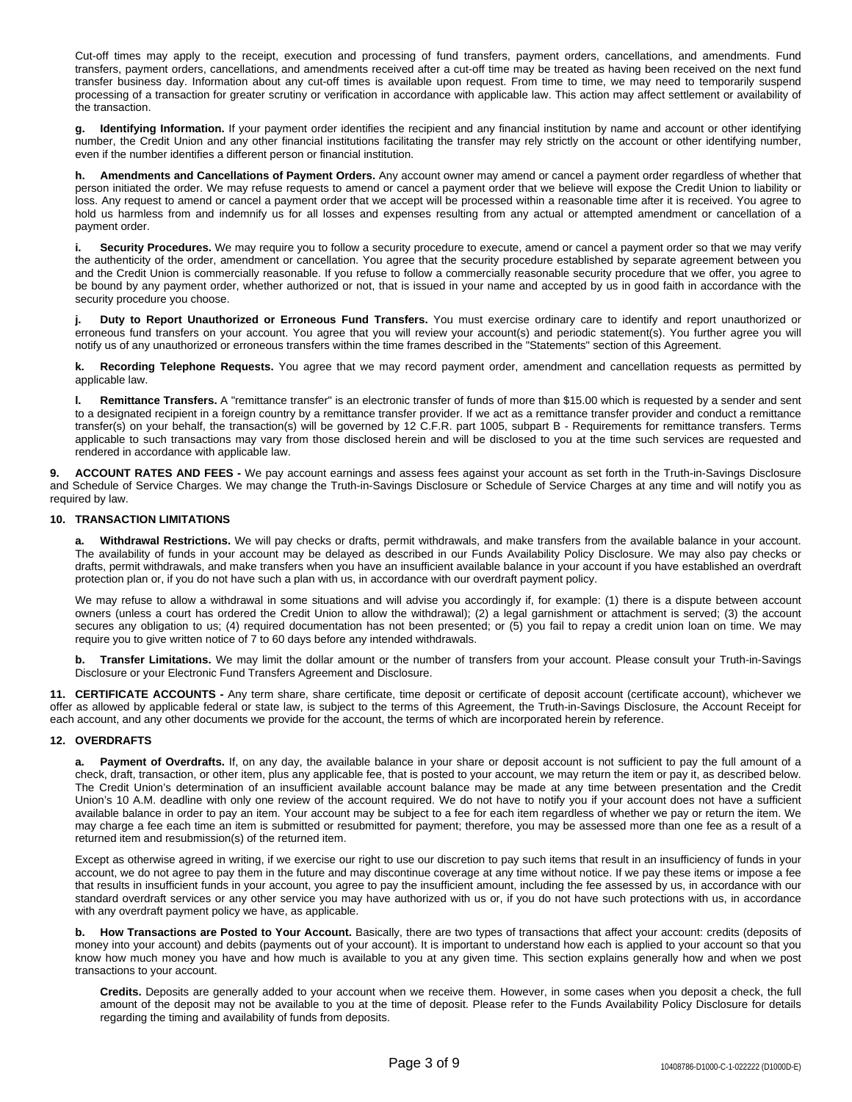Cut-off times may apply to the receipt, execution and processing of fund transfers, payment orders, cancellations, and amendments. Fund transfers, payment orders, cancellations, and amendments received after a cut-off time may be treated as having been received on the next fund transfer business day. Information about any cut-off times is available upon request. From time to time, we may need to temporarily suspend processing of a transaction for greater scrutiny or verification in accordance with applicable law. This action may affect settlement or availability of the transaction.

**g. Identifying Information.** If your payment order identifies the recipient and any financial institution by name and account or other identifying number, the Credit Union and any other financial institutions facilitating the transfer may rely strictly on the account or other identifying number, even if the number identifies a different person or financial institution.

**h. Amendments and Cancellations of Payment Orders.** Any account owner may amend or cancel a payment order regardless of whether that person initiated the order. We may refuse requests to amend or cancel a payment order that we believe will expose the Credit Union to liability or loss. Any request to amend or cancel a payment order that we accept will be processed within a reasonable time after it is received. You agree to hold us harmless from and indemnify us for all losses and expenses resulting from any actual or attempted amendment or cancellation of a payment order.

**i. Security Procedures.** We may require you to follow a security procedure to execute, amend or cancel a payment order so that we may verify the authenticity of the order, amendment or cancellation. You agree that the security procedure established by separate agreement between you and the Credit Union is commercially reasonable. If you refuse to follow a commercially reasonable security procedure that we offer, you agree to be bound by any payment order, whether authorized or not, that is issued in your name and accepted by us in good faith in accordance with the security procedure you choose.

**j. Duty to Report Unauthorized or Erroneous Fund Transfers.** You must exercise ordinary care to identify and report unauthorized or erroneous fund transfers on your account. You agree that you will review your account(s) and periodic statement(s). You further agree you will notify us of any unauthorized or erroneous transfers within the time frames described in the "Statements" section of this Agreement.

**k. Recording Telephone Requests.** You agree that we may record payment order, amendment and cancellation requests as permitted by applicable law.

**l. Remittance Transfers.** A "remittance transfer" is an electronic transfer of funds of more than \$15.00 which is requested by a sender and sent to a designated recipient in a foreign country by a remittance transfer provider. If we act as a remittance transfer provider and conduct a remittance transfer(s) on your behalf, the transaction(s) will be governed by 12 C.F.R. part 1005, subpart B - Requirements for remittance transfers. Terms applicable to such transactions may vary from those disclosed herein and will be disclosed to you at the time such services are requested and rendered in accordance with applicable law.

**9. ACCOUNT RATES AND FEES -** We pay account earnings and assess fees against your account as set forth in the Truth-in-Savings Disclosure and Schedule of Service Charges. We may change the Truth-in-Savings Disclosure or Schedule of Service Charges at any time and will notify you as required by law.

## **10. TRANSACTION LIMITATIONS**

**a. Withdrawal Restrictions.** We will pay checks or drafts, permit withdrawals, and make transfers from the available balance in your account. The availability of funds in your account may be delayed as described in our Funds Availability Policy Disclosure. We may also pay checks or drafts, permit withdrawals, and make transfers when you have an insufficient available balance in your account if you have established an overdraft protection plan or, if you do not have such a plan with us, in accordance with our overdraft payment policy.

We may refuse to allow a withdrawal in some situations and will advise you accordingly if, for example: (1) there is a dispute between account owners (unless a court has ordered the Credit Union to allow the withdrawal); (2) a legal garnishment or attachment is served; (3) the account secures any obligation to us; (4) required documentation has not been presented; or (5) you fail to repay a credit union loan on time. We may require you to give written notice of 7 to 60 days before any intended withdrawals.

**b. Transfer Limitations.** We may limit the dollar amount or the number of transfers from your account. Please consult your Truth-in-Savings Disclosure or your Electronic Fund Transfers Agreement and Disclosure.

**11. CERTIFICATE ACCOUNTS -** Any term share, share certificate, time deposit or certificate of deposit account (certificate account), whichever we offer as allowed by applicable federal or state law, is subject to the terms of this Agreement, the Truth-in-Savings Disclosure, the Account Receipt for each account, and any other documents we provide for the account, the terms of which are incorporated herein by reference.

## **12. OVERDRAFTS**

**a. Payment of Overdrafts.** If, on any day, the available balance in your share or deposit account is not sufficient to pay the full amount of a check, draft, transaction, or other item, plus any applicable fee, that is posted to your account, we may return the item or pay it, as described below. The Credit Union's determination of an insufficient available account balance may be made at any time between presentation and the Credit Union's 10 A.M. deadline with only one review of the account required. We do not have to notify you if your account does not have a sufficient available balance in order to pay an item. Your account may be subject to a fee for each item regardless of whether we pay or return the item. We may charge a fee each time an item is submitted or resubmitted for payment; therefore, you may be assessed more than one fee as a result of a returned item and resubmission(s) of the returned item.

Except as otherwise agreed in writing, if we exercise our right to use our discretion to pay such items that result in an insufficiency of funds in your account, we do not agree to pay them in the future and may discontinue coverage at any time without notice. If we pay these items or impose a fee that results in insufficient funds in your account, you agree to pay the insufficient amount, including the fee assessed by us, in accordance with our standard overdraft services or any other service you may have authorized with us or, if you do not have such protections with us, in accordance with any overdraft payment policy we have, as applicable.

**b. How Transactions are Posted to Your Account.** Basically, there are two types of transactions that affect your account: credits (deposits of money into your account) and debits (payments out of your account). It is important to understand how each is applied to your account so that you know how much money you have and how much is available to you at any given time. This section explains generally how and when we post transactions to your account.

**Credits.** Deposits are generally added to your account when we receive them. However, in some cases when you deposit a check, the full amount of the deposit may not be available to you at the time of deposit. Please refer to the Funds Availability Policy Disclosure for details regarding the timing and availability of funds from deposits.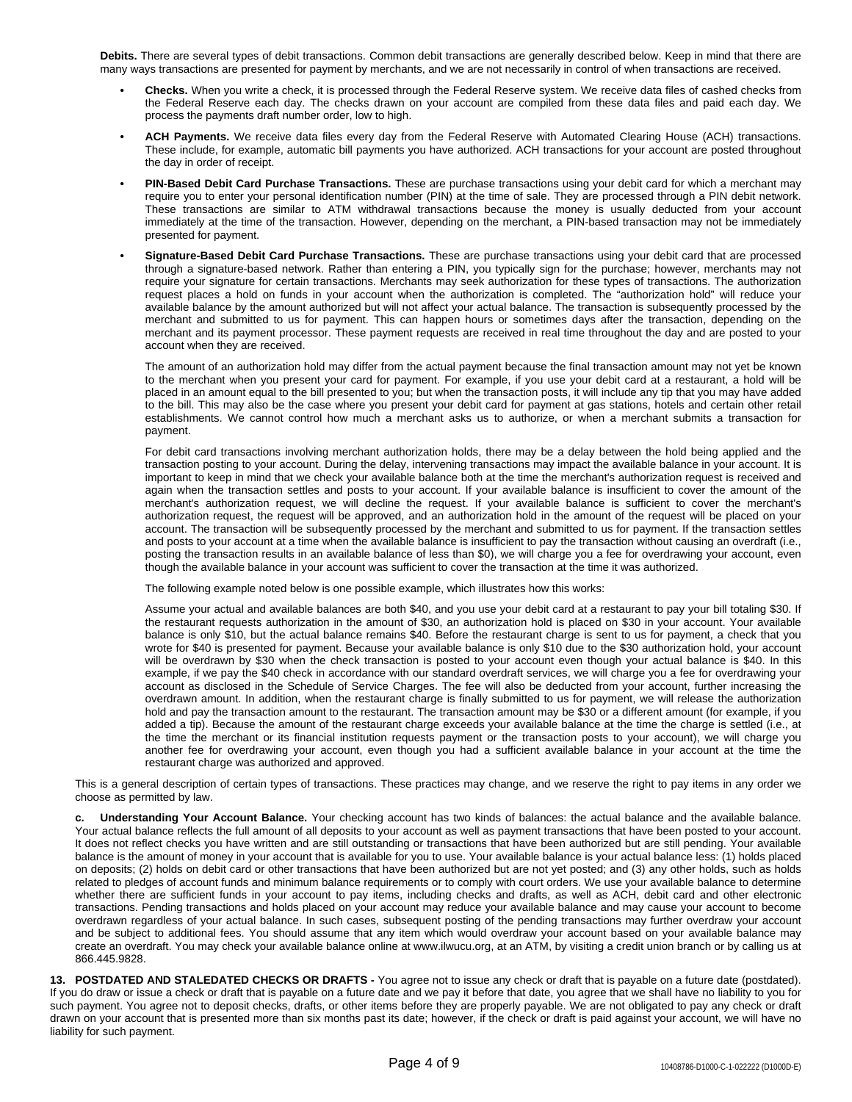**Debits.** There are several types of debit transactions. Common debit transactions are generally described below. Keep in mind that there are many ways transactions are presented for payment by merchants, and we are not necessarily in control of when transactions are received.

- **• Checks.** When you write a check, it is processed through the Federal Reserve system. We receive data files of cashed checks from the Federal Reserve each day. The checks drawn on your account are compiled from these data files and paid each day. We process the payments draft number order, low to high.
- **• ACH Payments.** We receive data files every day from the Federal Reserve with Automated Clearing House (ACH) transactions. These include, for example, automatic bill payments you have authorized. ACH transactions for your account are posted throughout the day in order of receipt.
- **• PIN-Based Debit Card Purchase Transactions.** These are purchase transactions using your debit card for which a merchant may require you to enter your personal identification number (PIN) at the time of sale. They are processed through a PIN debit network. These transactions are similar to ATM withdrawal transactions because the money is usually deducted from your account immediately at the time of the transaction. However, depending on the merchant, a PIN-based transaction may not be immediately presented for payment.
- **• Signature-Based Debit Card Purchase Transactions.** These are purchase transactions using your debit card that are processed through a signature-based network. Rather than entering a PIN, you typically sign for the purchase; however, merchants may not require your signature for certain transactions. Merchants may seek authorization for these types of transactions. The authorization request places a hold on funds in your account when the authorization is completed. The "authorization hold" will reduce your available balance by the amount authorized but will not affect your actual balance. The transaction is subsequently processed by the merchant and submitted to us for payment. This can happen hours or sometimes days after the transaction, depending on the merchant and its payment processor. These payment requests are received in real time throughout the day and are posted to your account when they are received.

The amount of an authorization hold may differ from the actual payment because the final transaction amount may not yet be known to the merchant when you present your card for payment. For example, if you use your debit card at a restaurant, a hold will be placed in an amount equal to the bill presented to you; but when the transaction posts, it will include any tip that you may have added to the bill. This may also be the case where you present your debit card for payment at gas stations, hotels and certain other retail establishments. We cannot control how much a merchant asks us to authorize, or when a merchant submits a transaction for payment.

For debit card transactions involving merchant authorization holds, there may be a delay between the hold being applied and the transaction posting to your account. During the delay, intervening transactions may impact the available balance in your account. It is important to keep in mind that we check your available balance both at the time the merchant's authorization request is received and again when the transaction settles and posts to your account. If your available balance is insufficient to cover the amount of the merchant's authorization request, we will decline the request. If your available balance is sufficient to cover the merchant's authorization request, the request will be approved, and an authorization hold in the amount of the request will be placed on your account. The transaction will be subsequently processed by the merchant and submitted to us for payment. If the transaction settles and posts to your account at a time when the available balance is insufficient to pay the transaction without causing an overdraft (i.e., posting the transaction results in an available balance of less than \$0), we will charge you a fee for overdrawing your account, even though the available balance in your account was sufficient to cover the transaction at the time it was authorized.

The following example noted below is one possible example, which illustrates how this works:

Assume your actual and available balances are both \$40, and you use your debit card at a restaurant to pay your bill totaling \$30. If the restaurant requests authorization in the amount of \$30, an authorization hold is placed on \$30 in your account. Your available balance is only \$10, but the actual balance remains \$40. Before the restaurant charge is sent to us for payment, a check that you wrote for \$40 is presented for payment. Because your available balance is only \$10 due to the \$30 authorization hold, your account will be overdrawn by \$30 when the check transaction is posted to your account even though your actual balance is \$40. In this example, if we pay the \$40 check in accordance with our standard overdraft services, we will charge you a fee for overdrawing your account as disclosed in the Schedule of Service Charges. The fee will also be deducted from your account, further increasing the overdrawn amount. In addition, when the restaurant charge is finally submitted to us for payment, we will release the authorization hold and pay the transaction amount to the restaurant. The transaction amount may be \$30 or a different amount (for example, if you added a tip). Because the amount of the restaurant charge exceeds your available balance at the time the charge is settled (i.e., at the time the merchant or its financial institution requests payment or the transaction posts to your account), we will charge you another fee for overdrawing your account, even though you had a sufficient available balance in your account at the time the restaurant charge was authorized and approved.

This is a general description of certain types of transactions. These practices may change, and we reserve the right to pay items in any order we choose as permitted by law.

**c. Understanding Your Account Balance.** Your checking account has two kinds of balances: the actual balance and the available balance. Your actual balance reflects the full amount of all deposits to your account as well as payment transactions that have been posted to your account. It does not reflect checks you have written and are still outstanding or transactions that have been authorized but are still pending. Your available balance is the amount of money in your account that is available for you to use. Your available balance is your actual balance less: (1) holds placed on deposits; (2) holds on debit card or other transactions that have been authorized but are not yet posted; and (3) any other holds, such as holds related to pledges of account funds and minimum balance requirements or to comply with court orders. We use your available balance to determine whether there are sufficient funds in your account to pay items, including checks and drafts, as well as ACH, debit card and other electronic transactions. Pending transactions and holds placed on your account may reduce your available balance and may cause your account to become overdrawn regardless of your actual balance. In such cases, subsequent posting of the pending transactions may further overdraw your account and be subject to additional fees. You should assume that any item which would overdraw your account based on your available balance may create an overdraft. You may check your available balance online at www.ilwucu.org, at an ATM, by visiting a credit union branch or by calling us at 866.445.9828.

**13. POSTDATED AND STALEDATED CHECKS OR DRAFTS -** You agree not to issue any check or draft that is payable on a future date (postdated). If you do draw or issue a check or draft that is payable on a future date and we pay it before that date, you agree that we shall have no liability to you for such payment. You agree not to deposit checks, drafts, or other items before they are properly payable. We are not obligated to pay any check or draft drawn on your account that is presented more than six months past its date; however, if the check or draft is paid against your account, we will have no liability for such payment.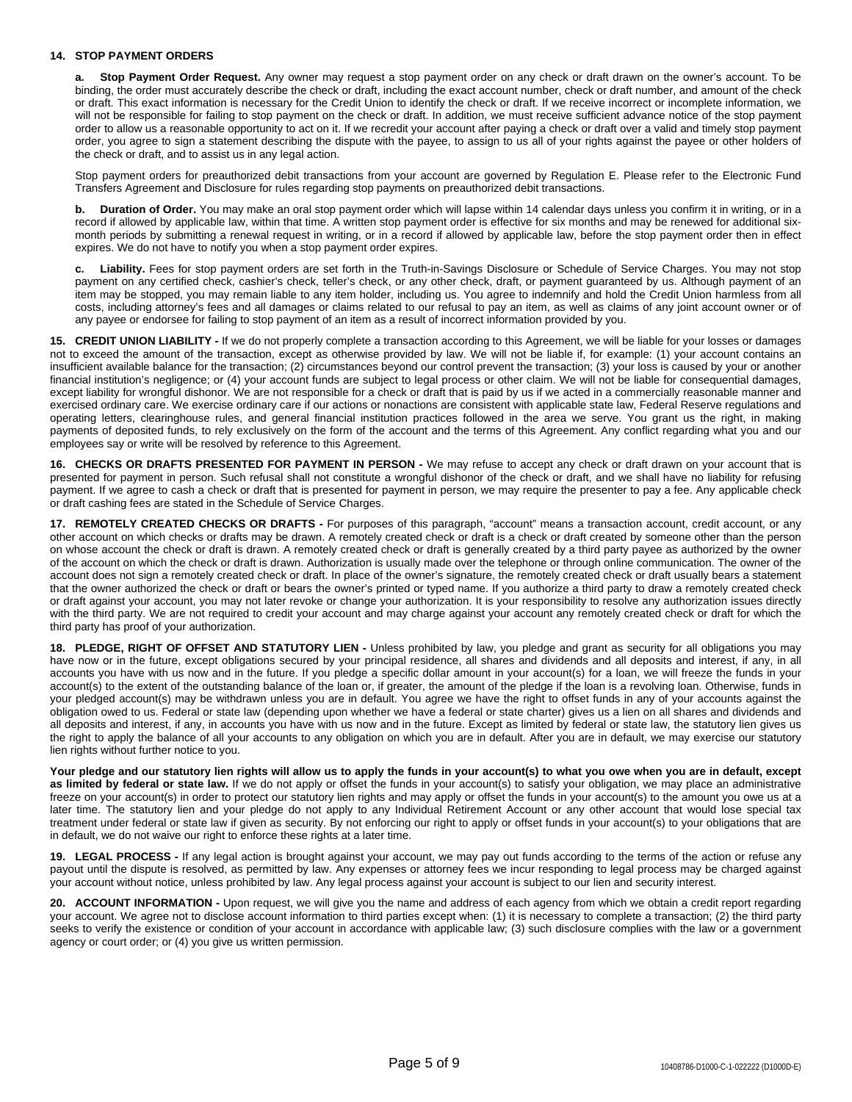## **14. STOP PAYMENT ORDERS**

**Stop Payment Order Request.** Any owner may request a stop payment order on any check or draft drawn on the owner's account. To be binding, the order must accurately describe the check or draft, including the exact account number, check or draft number, and amount of the check or draft. This exact information is necessary for the Credit Union to identify the check or draft. If we receive incorrect or incomplete information, we will not be responsible for failing to stop payment on the check or draft. In addition, we must receive sufficient advance notice of the stop payment order to allow us a reasonable opportunity to act on it. If we recredit your account after paying a check or draft over a valid and timely stop payment order, you agree to sign a statement describing the dispute with the payee, to assign to us all of your rights against the payee or other holders of the check or draft, and to assist us in any legal action.

Stop payment orders for preauthorized debit transactions from your account are governed by Regulation E. Please refer to the Electronic Fund Transfers Agreement and Disclosure for rules regarding stop payments on preauthorized debit transactions.

**b. Duration of Order.** You may make an oral stop payment order which will lapse within 14 calendar days unless you confirm it in writing, or in a record if allowed by applicable law, within that time. A written stop payment order is effective for six months and may be renewed for additional sixmonth periods by submitting a renewal request in writing, or in a record if allowed by applicable law, before the stop payment order then in effect expires. We do not have to notify you when a stop payment order expires.

**c. Liability.** Fees for stop payment orders are set forth in the Truth-in-Savings Disclosure or Schedule of Service Charges. You may not stop payment on any certified check, cashier's check, teller's check, or any other check, draft, or payment guaranteed by us. Although payment of an item may be stopped, you may remain liable to any item holder, including us. You agree to indemnify and hold the Credit Union harmless from all costs, including attorney's fees and all damages or claims related to our refusal to pay an item, as well as claims of any joint account owner or of any payee or endorsee for failing to stop payment of an item as a result of incorrect information provided by you.

**15. CREDIT UNION LIABILITY -** If we do not properly complete a transaction according to this Agreement, we will be liable for your losses or damages not to exceed the amount of the transaction, except as otherwise provided by law. We will not be liable if, for example: (1) your account contains an insufficient available balance for the transaction; (2) circumstances beyond our control prevent the transaction; (3) your loss is caused by your or another financial institution's negligence; or (4) your account funds are subject to legal process or other claim. We will not be liable for consequential damages, except liability for wrongful dishonor. We are not responsible for a check or draft that is paid by us if we acted in a commercially reasonable manner and exercised ordinary care. We exercise ordinary care if our actions or nonactions are consistent with applicable state law, Federal Reserve regulations and operating letters, clearinghouse rules, and general financial institution practices followed in the area we serve. You grant us the right, in making payments of deposited funds, to rely exclusively on the form of the account and the terms of this Agreement. Any conflict regarding what you and our employees say or write will be resolved by reference to this Agreement.

**16. CHECKS OR DRAFTS PRESENTED FOR PAYMENT IN PERSON -** We may refuse to accept any check or draft drawn on your account that is presented for payment in person. Such refusal shall not constitute a wrongful dishonor of the check or draft, and we shall have no liability for refusing payment. If we agree to cash a check or draft that is presented for payment in person, we may require the presenter to pay a fee. Any applicable check or draft cashing fees are stated in the Schedule of Service Charges.

**17. REMOTELY CREATED CHECKS OR DRAFTS -** For purposes of this paragraph, "account" means a transaction account, credit account, or any other account on which checks or drafts may be drawn. A remotely created check or draft is a check or draft created by someone other than the person on whose account the check or draft is drawn. A remotely created check or draft is generally created by a third party payee as authorized by the owner of the account on which the check or draft is drawn. Authorization is usually made over the telephone or through online communication. The owner of the account does not sign a remotely created check or draft. In place of the owner's signature, the remotely created check or draft usually bears a statement that the owner authorized the check or draft or bears the owner's printed or typed name. If you authorize a third party to draw a remotely created check or draft against your account, you may not later revoke or change your authorization. It is your responsibility to resolve any authorization issues directly with the third party. We are not required to credit your account and may charge against your account any remotely created check or draft for which the third party has proof of your authorization.

**18. PLEDGE, RIGHT OF OFFSET AND STATUTORY LIEN -** Unless prohibited by law, you pledge and grant as security for all obligations you may have now or in the future, except obligations secured by your principal residence, all shares and dividends and all deposits and interest, if any, in all accounts you have with us now and in the future. If you pledge a specific dollar amount in your account(s) for a loan, we will freeze the funds in your account(s) to the extent of the outstanding balance of the loan or, if greater, the amount of the pledge if the loan is a revolving loan. Otherwise, funds in your pledged account(s) may be withdrawn unless you are in default. You agree we have the right to offset funds in any of your accounts against the obligation owed to us. Federal or state law (depending upon whether we have a federal or state charter) gives us a lien on all shares and dividends and all deposits and interest, if any, in accounts you have with us now and in the future. Except as limited by federal or state law, the statutory lien gives us the right to apply the balance of all your accounts to any obligation on which you are in default. After you are in default, we may exercise our statutory lien rights without further notice to you.

Your pledge and our statutory lien rights will allow us to apply the funds in your account(s) to what you owe when you are in default, except **as limited by federal or state law.** If we do not apply or offset the funds in your account(s) to satisfy your obligation, we may place an administrative freeze on your account(s) in order to protect our statutory lien rights and may apply or offset the funds in your account(s) to the amount you owe us at a later time. The statutory lien and your pledge do not apply to any Individual Retirement Account or any other account that would lose special tax treatment under federal or state law if given as security. By not enforcing our right to apply or offset funds in your account(s) to your obligations that are in default, we do not waive our right to enforce these rights at a later time.

**19. LEGAL PROCESS -** If any legal action is brought against your account, we may pay out funds according to the terms of the action or refuse any payout until the dispute is resolved, as permitted by law. Any expenses or attorney fees we incur responding to legal process may be charged against your account without notice, unless prohibited by law. Any legal process against your account is subject to our lien and security interest.

**20. ACCOUNT INFORMATION -** Upon request, we will give you the name and address of each agency from which we obtain a credit report regarding your account. We agree not to disclose account information to third parties except when: (1) it is necessary to complete a transaction; (2) the third party seeks to verify the existence or condition of your account in accordance with applicable law; (3) such disclosure complies with the law or a government agency or court order; or (4) you give us written permission.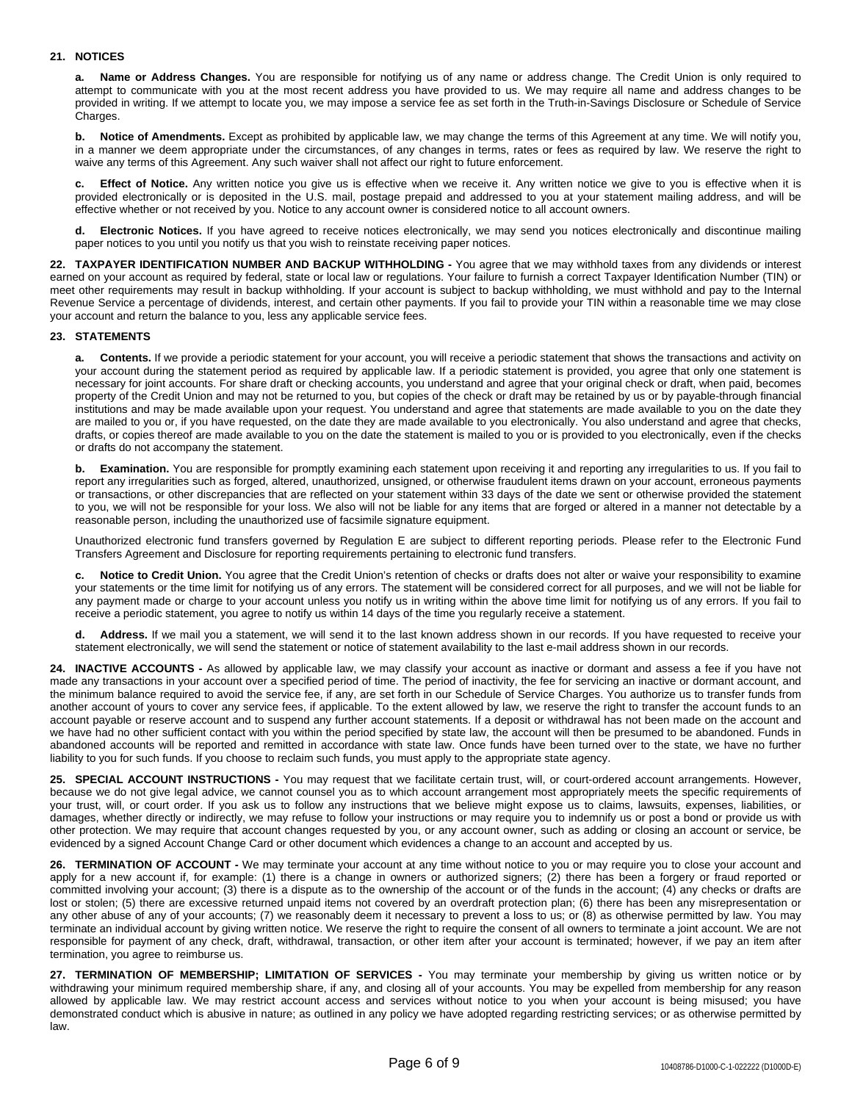## **21. NOTICES**

**a. Name or Address Changes.** You are responsible for notifying us of any name or address change. The Credit Union is only required to attempt to communicate with you at the most recent address you have provided to us. We may require all name and address changes to be provided in writing. If we attempt to locate you, we may impose a service fee as set forth in the Truth-in-Savings Disclosure or Schedule of Service Charges.

**b. Notice of Amendments.** Except as prohibited by applicable law, we may change the terms of this Agreement at any time. We will notify you, in a manner we deem appropriate under the circumstances, of any changes in terms, rates or fees as required by law. We reserve the right to waive any terms of this Agreement. Any such waiver shall not affect our right to future enforcement.

**c. Effect of Notice.** Any written notice you give us is effective when we receive it. Any written notice we give to you is effective when it is provided electronically or is deposited in the U.S. mail, postage prepaid and addressed to you at your statement mailing address, and will be effective whether or not received by you. Notice to any account owner is considered notice to all account owners.

**d. Electronic Notices.** If you have agreed to receive notices electronically, we may send you notices electronically and discontinue mailing paper notices to you until you notify us that you wish to reinstate receiving paper notices.

**22. TAXPAYER IDENTIFICATION NUMBER AND BACKUP WITHHOLDING -** You agree that we may withhold taxes from any dividends or interest earned on your account as required by federal, state or local law or regulations. Your failure to furnish a correct Taxpayer Identification Number (TIN) or meet other requirements may result in backup withholding. If your account is subject to backup withholding, we must withhold and pay to the Internal Revenue Service a percentage of dividends, interest, and certain other payments. If you fail to provide your TIN within a reasonable time we may close your account and return the balance to you, less any applicable service fees.

## **23. STATEMENTS**

**a. Contents.** If we provide a periodic statement for your account, you will receive a periodic statement that shows the transactions and activity on your account during the statement period as required by applicable law. If a periodic statement is provided, you agree that only one statement is necessary for joint accounts. For share draft or checking accounts, you understand and agree that your original check or draft, when paid, becomes property of the Credit Union and may not be returned to you, but copies of the check or draft may be retained by us or by payable-through financial institutions and may be made available upon your request. You understand and agree that statements are made available to you on the date they are mailed to you or, if you have requested, on the date they are made available to you electronically. You also understand and agree that checks, drafts, or copies thereof are made available to you on the date the statement is mailed to you or is provided to you electronically, even if the checks or drafts do not accompany the statement.

**Examination.** You are responsible for promptly examining each statement upon receiving it and reporting any irregularities to us. If you fail to report any irregularities such as forged, altered, unauthorized, unsigned, or otherwise fraudulent items drawn on your account, erroneous payments or transactions, or other discrepancies that are reflected on your statement within 33 days of the date we sent or otherwise provided the statement to you, we will not be responsible for your loss. We also will not be liable for any items that are forged or altered in a manner not detectable by a reasonable person, including the unauthorized use of facsimile signature equipment.

Unauthorized electronic fund transfers governed by Regulation E are subject to different reporting periods. Please refer to the Electronic Fund Transfers Agreement and Disclosure for reporting requirements pertaining to electronic fund transfers.

**c. Notice to Credit Union.** You agree that the Credit Union's retention of checks or drafts does not alter or waive your responsibility to examine your statements or the time limit for notifying us of any errors. The statement will be considered correct for all purposes, and we will not be liable for any payment made or charge to your account unless you notify us in writing within the above time limit for notifying us of any errors. If you fail to receive a periodic statement, you agree to notify us within 14 days of the time you regularly receive a statement.

Address. If we mail you a statement, we will send it to the last known address shown in our records. If you have requested to receive your statement electronically, we will send the statement or notice of statement availability to the last e-mail address shown in our records.

**24. INACTIVE ACCOUNTS -** As allowed by applicable law, we may classify your account as inactive or dormant and assess a fee if you have not made any transactions in your account over a specified period of time. The period of inactivity, the fee for servicing an inactive or dormant account, and the minimum balance required to avoid the service fee, if any, are set forth in our Schedule of Service Charges. You authorize us to transfer funds from another account of yours to cover any service fees, if applicable. To the extent allowed by law, we reserve the right to transfer the account funds to an account payable or reserve account and to suspend any further account statements. If a deposit or withdrawal has not been made on the account and we have had no other sufficient contact with you within the period specified by state law, the account will then be presumed to be abandoned. Funds in abandoned accounts will be reported and remitted in accordance with state law. Once funds have been turned over to the state, we have no further liability to you for such funds. If you choose to reclaim such funds, you must apply to the appropriate state agency.

**25. SPECIAL ACCOUNT INSTRUCTIONS -** You may request that we facilitate certain trust, will, or court-ordered account arrangements. However, because we do not give legal advice, we cannot counsel you as to which account arrangement most appropriately meets the specific requirements of your trust, will, or court order. If you ask us to follow any instructions that we believe might expose us to claims, lawsuits, expenses, liabilities, or damages, whether directly or indirectly, we may refuse to follow your instructions or may require you to indemnify us or post a bond or provide us with other protection. We may require that account changes requested by you, or any account owner, such as adding or closing an account or service, be evidenced by a signed Account Change Card or other document which evidences a change to an account and accepted by us.

**26. TERMINATION OF ACCOUNT -** We may terminate your account at any time without notice to you or may require you to close your account and apply for a new account if, for example: (1) there is a change in owners or authorized signers; (2) there has been a forgery or fraud reported or committed involving your account; (3) there is a dispute as to the ownership of the account or of the funds in the account; (4) any checks or drafts are lost or stolen; (5) there are excessive returned unpaid items not covered by an overdraft protection plan; (6) there has been any misrepresentation or any other abuse of any of your accounts; (7) we reasonably deem it necessary to prevent a loss to us; or (8) as otherwise permitted by law. You may terminate an individual account by giving written notice. We reserve the right to require the consent of all owners to terminate a joint account. We are not responsible for payment of any check, draft, withdrawal, transaction, or other item after your account is terminated; however, if we pay an item after termination, you agree to reimburse us.

**27. TERMINATION OF MEMBERSHIP; LIMITATION OF SERVICES -** You may terminate your membership by giving us written notice or by withdrawing your minimum required membership share, if any, and closing all of your accounts. You may be expelled from membership for any reason allowed by applicable law. We may restrict account access and services without notice to you when your account is being misused; you have demonstrated conduct which is abusive in nature; as outlined in any policy we have adopted regarding restricting services; or as otherwise permitted by law.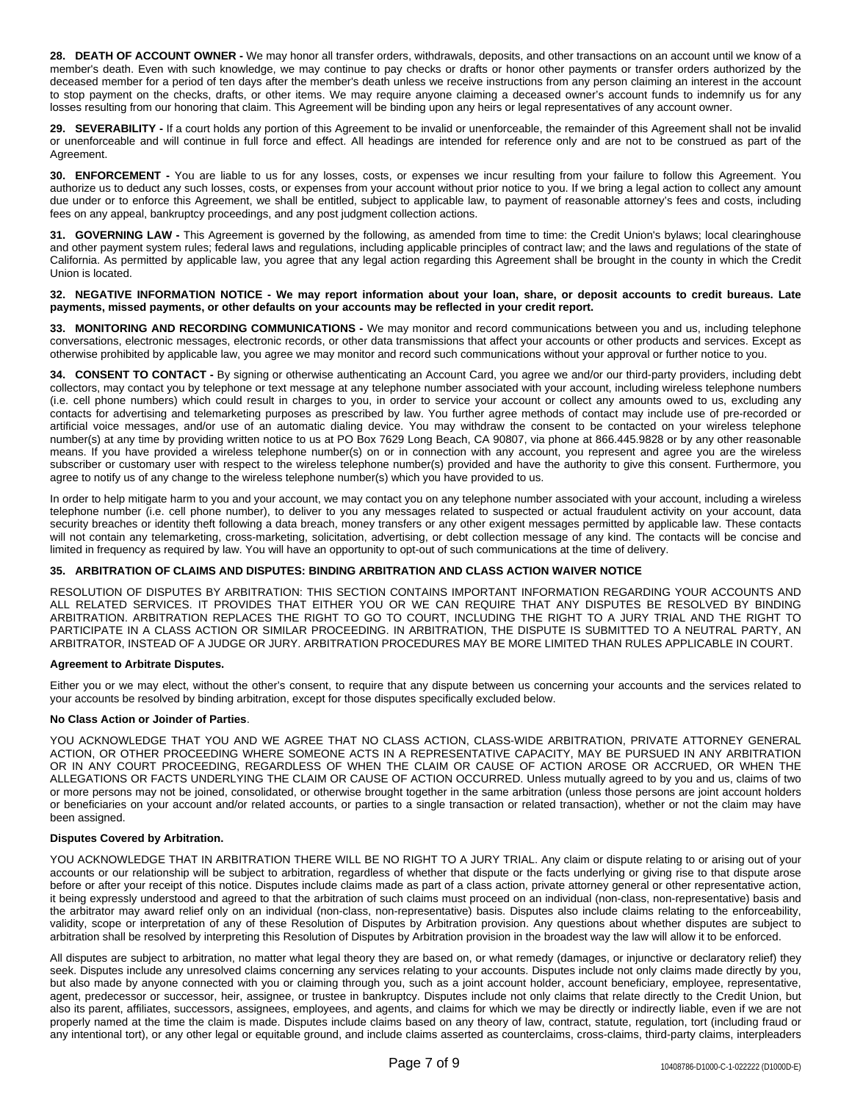**28. DEATH OF ACCOUNT OWNER -** We may honor all transfer orders, withdrawals, deposits, and other transactions on an account until we know of a member's death. Even with such knowledge, we may continue to pay checks or drafts or honor other payments or transfer orders authorized by the deceased member for a period of ten days after the member's death unless we receive instructions from any person claiming an interest in the account to stop payment on the checks, drafts, or other items. We may require anyone claiming a deceased owner's account funds to indemnify us for any losses resulting from our honoring that claim. This Agreement will be binding upon any heirs or legal representatives of any account owner.

**29. SEVERABILITY -** If a court holds any portion of this Agreement to be invalid or unenforceable, the remainder of this Agreement shall not be invalid or unenforceable and will continue in full force and effect. All headings are intended for reference only and are not to be construed as part of the Agreement.

**30. ENFORCEMENT -** You are liable to us for any losses, costs, or expenses we incur resulting from your failure to follow this Agreement. You authorize us to deduct any such losses, costs, or expenses from your account without prior notice to you. If we bring a legal action to collect any amount due under or to enforce this Agreement, we shall be entitled, subject to applicable law, to payment of reasonable attorney's fees and costs, including fees on any appeal, bankruptcy proceedings, and any post judgment collection actions.

**31. GOVERNING LAW -** This Agreement is governed by the following, as amended from time to time: the Credit Union's bylaws; local clearinghouse and other payment system rules; federal laws and regulations, including applicable principles of contract law; and the laws and regulations of the state of California. As permitted by applicable law, you agree that any legal action regarding this Agreement shall be brought in the county in which the Credit Union is located.

#### 32. NEGATIVE INFORMATION NOTICE - We may report information about your loan, share, or deposit accounts to credit bureaus. Late **payments, missed payments, or other defaults on your accounts may be reflected in your credit report.**

**33. MONITORING AND RECORDING COMMUNICATIONS -** We may monitor and record communications between you and us, including telephone conversations, electronic messages, electronic records, or other data transmissions that affect your accounts or other products and services. Except as otherwise prohibited by applicable law, you agree we may monitor and record such communications without your approval or further notice to you.

**34. CONSENT TO CONTACT -** By signing or otherwise authenticating an Account Card, you agree we and/or our third-party providers, including debt collectors, may contact you by telephone or text message at any telephone number associated with your account, including wireless telephone numbers (i.e. cell phone numbers) which could result in charges to you, in order to service your account or collect any amounts owed to us, excluding any contacts for advertising and telemarketing purposes as prescribed by law. You further agree methods of contact may include use of pre-recorded or artificial voice messages, and/or use of an automatic dialing device. You may withdraw the consent to be contacted on your wireless telephone number(s) at any time by providing written notice to us at PO Box 7629 Long Beach, CA 90807, via phone at 866.445.9828 or by any other reasonable means. If you have provided a wireless telephone number(s) on or in connection with any account, you represent and agree you are the wireless subscriber or customary user with respect to the wireless telephone number(s) provided and have the authority to give this consent. Furthermore, you agree to notify us of any change to the wireless telephone number(s) which you have provided to us.

In order to help mitigate harm to you and your account, we may contact you on any telephone number associated with your account, including a wireless telephone number (i.e. cell phone number), to deliver to you any messages related to suspected or actual fraudulent activity on your account, data security breaches or identity theft following a data breach, money transfers or any other exigent messages permitted by applicable law. These contacts will not contain any telemarketing, cross-marketing, solicitation, advertising, or debt collection message of any kind. The contacts will be concise and limited in frequency as required by law. You will have an opportunity to opt-out of such communications at the time of delivery.

## **35. ARBITRATION OF CLAIMS AND DISPUTES: BINDING ARBITRATION AND CLASS ACTION WAIVER NOTICE**

RESOLUTION OF DISPUTES BY ARBITRATION: THIS SECTION CONTAINS IMPORTANT INFORMATION REGARDING YOUR ACCOUNTS AND ALL RELATED SERVICES. IT PROVIDES THAT EITHER YOU OR WE CAN REQUIRE THAT ANY DISPUTES BE RESOLVED BY BINDING ARBITRATION. ARBITRATION REPLACES THE RIGHT TO GO TO COURT, INCLUDING THE RIGHT TO A JURY TRIAL AND THE RIGHT TO PARTICIPATE IN A CLASS ACTION OR SIMILAR PROCEEDING. IN ARBITRATION, THE DISPUTE IS SUBMITTED TO A NEUTRAL PARTY, AN ARBITRATOR, INSTEAD OF A JUDGE OR JURY. ARBITRATION PROCEDURES MAY BE MORE LIMITED THAN RULES APPLICABLE IN COURT.

## **Agreement to Arbitrate Disputes.**

Either you or we may elect, without the other's consent, to require that any dispute between us concerning your accounts and the services related to your accounts be resolved by binding arbitration, except for those disputes specifically excluded below.

## **No Class Action or Joinder of Parties**.

YOU ACKNOWLEDGE THAT YOU AND WE AGREE THAT NO CLASS ACTION, CLASS-WIDE ARBITRATION, PRIVATE ATTORNEY GENERAL ACTION, OR OTHER PROCEEDING WHERE SOMEONE ACTS IN A REPRESENTATIVE CAPACITY, MAY BE PURSUED IN ANY ARBITRATION OR IN ANY COURT PROCEEDING, REGARDLESS OF WHEN THE CLAIM OR CAUSE OF ACTION AROSE OR ACCRUED, OR WHEN THE ALLEGATIONS OR FACTS UNDERLYING THE CLAIM OR CAUSE OF ACTION OCCURRED. Unless mutually agreed to by you and us, claims of two or more persons may not be joined, consolidated, or otherwise brought together in the same arbitration (unless those persons are joint account holders or beneficiaries on your account and/or related accounts, or parties to a single transaction or related transaction), whether or not the claim may have been assigned.

## **Disputes Covered by Arbitration.**

YOU ACKNOWLEDGE THAT IN ARBITRATION THERE WILL BE NO RIGHT TO A JURY TRIAL. Any claim or dispute relating to or arising out of your accounts or our relationship will be subject to arbitration, regardless of whether that dispute or the facts underlying or giving rise to that dispute arose before or after your receipt of this notice. Disputes include claims made as part of a class action, private attorney general or other representative action, it being expressly understood and agreed to that the arbitration of such claims must proceed on an individual (non-class, non-representative) basis and the arbitrator may award relief only on an individual (non-class, non-representative) basis. Disputes also include claims relating to the enforceability, validity, scope or interpretation of any of these Resolution of Disputes by Arbitration provision. Any questions about whether disputes are subject to arbitration shall be resolved by interpreting this Resolution of Disputes by Arbitration provision in the broadest way the law will allow it to be enforced.

All disputes are subject to arbitration, no matter what legal theory they are based on, or what remedy (damages, or injunctive or declaratory relief) they seek. Disputes include any unresolved claims concerning any services relating to your accounts. Disputes include not only claims made directly by you, but also made by anyone connected with you or claiming through you, such as a joint account holder, account beneficiary, employee, representative, agent, predecessor or successor, heir, assignee, or trustee in bankruptcy. Disputes include not only claims that relate directly to the Credit Union, but also its parent, affiliates, successors, assignees, employees, and agents, and claims for which we may be directly or indirectly liable, even if we are not properly named at the time the claim is made. Disputes include claims based on any theory of law, contract, statute, regulation, tort (including fraud or any intentional tort), or any other legal or equitable ground, and include claims asserted as counterclaims, cross-claims, third-party claims, interpleaders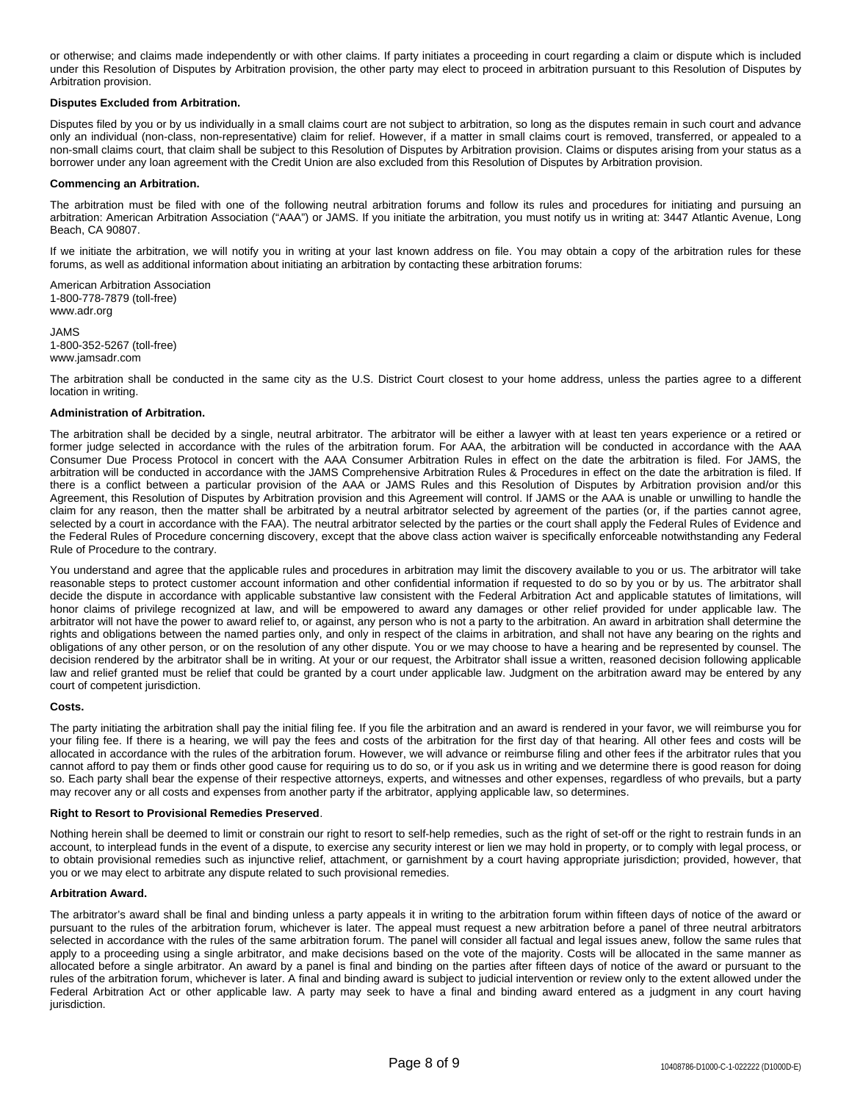or otherwise; and claims made independently or with other claims. If party initiates a proceeding in court regarding a claim or dispute which is included under this Resolution of Disputes by Arbitration provision, the other party may elect to proceed in arbitration pursuant to this Resolution of Disputes by Arbitration provision.

## **Disputes Excluded from Arbitration.**

Disputes filed by you or by us individually in a small claims court are not subject to arbitration, so long as the disputes remain in such court and advance only an individual (non-class, non-representative) claim for relief. However, if a matter in small claims court is removed, transferred, or appealed to a non-small claims court, that claim shall be subject to this Resolution of Disputes by Arbitration provision. Claims or disputes arising from your status as a borrower under any loan agreement with the Credit Union are also excluded from this Resolution of Disputes by Arbitration provision.

## **Commencing an Arbitration.**

The arbitration must be filed with one of the following neutral arbitration forums and follow its rules and procedures for initiating and pursuing an arbitration: American Arbitration Association ("AAA") or JAMS. If you initiate the arbitration, you must notify us in writing at: 3447 Atlantic Avenue, Long Beach, CA 90807.

If we initiate the arbitration, we will notify you in writing at your last known address on file. You may obtain a copy of the arbitration rules for these forums, as well as additional information about initiating an arbitration by contacting these arbitration forums:

American Arbitration Association 1-800-778-7879 (toll-free) www.adr.org

#### JAMS 1-800-352-5267 (toll-free) www.jamsadr.com

The arbitration shall be conducted in the same city as the U.S. District Court closest to your home address, unless the parties agree to a different location in writing.

## **Administration of Arbitration.**

The arbitration shall be decided by a single, neutral arbitrator. The arbitrator will be either a lawyer with at least ten years experience or a retired or former judge selected in accordance with the rules of the arbitration forum. For AAA, the arbitration will be conducted in accordance with the AAA Consumer Due Process Protocol in concert with the AAA Consumer Arbitration Rules in effect on the date the arbitration is filed. For JAMS, the arbitration will be conducted in accordance with the JAMS Comprehensive Arbitration Rules & Procedures in effect on the date the arbitration is filed. If there is a conflict between a particular provision of the AAA or JAMS Rules and this Resolution of Disputes by Arbitration provision and/or this Agreement, this Resolution of Disputes by Arbitration provision and this Agreement will control. If JAMS or the AAA is unable or unwilling to handle the claim for any reason, then the matter shall be arbitrated by a neutral arbitrator selected by agreement of the parties (or, if the parties cannot agree, selected by a court in accordance with the FAA). The neutral arbitrator selected by the parties or the court shall apply the Federal Rules of Evidence and the Federal Rules of Procedure concerning discovery, except that the above class action waiver is specifically enforceable notwithstanding any Federal Rule of Procedure to the contrary.

You understand and agree that the applicable rules and procedures in arbitration may limit the discovery available to you or us. The arbitrator will take reasonable steps to protect customer account information and other confidential information if requested to do so by you or by us. The arbitrator shall decide the dispute in accordance with applicable substantive law consistent with the Federal Arbitration Act and applicable statutes of limitations, will honor claims of privilege recognized at law, and will be empowered to award any damages or other relief provided for under applicable law. The arbitrator will not have the power to award relief to, or against, any person who is not a party to the arbitration. An award in arbitration shall determine the rights and obligations between the named parties only, and only in respect of the claims in arbitration, and shall not have any bearing on the rights and obligations of any other person, or on the resolution of any other dispute. You or we may choose to have a hearing and be represented by counsel. The decision rendered by the arbitrator shall be in writing. At your or our request, the Arbitrator shall issue a written, reasoned decision following applicable law and relief granted must be relief that could be granted by a court under applicable law. Judgment on the arbitration award may be entered by any court of competent jurisdiction.

#### **Costs.**

The party initiating the arbitration shall pay the initial filing fee. If you file the arbitration and an award is rendered in your favor, we will reimburse you for your filing fee. If there is a hearing, we will pay the fees and costs of the arbitration for the first day of that hearing. All other fees and costs will be allocated in accordance with the rules of the arbitration forum. However, we will advance or reimburse filing and other fees if the arbitrator rules that you cannot afford to pay them or finds other good cause for requiring us to do so, or if you ask us in writing and we determine there is good reason for doing so. Each party shall bear the expense of their respective attorneys, experts, and witnesses and other expenses, regardless of who prevails, but a party may recover any or all costs and expenses from another party if the arbitrator, applying applicable law, so determines.

#### **Right to Resort to Provisional Remedies Preserved**.

Nothing herein shall be deemed to limit or constrain our right to resort to self-help remedies, such as the right of set-off or the right to restrain funds in an account, to interplead funds in the event of a dispute, to exercise any security interest or lien we may hold in property, or to comply with legal process, or to obtain provisional remedies such as injunctive relief, attachment, or garnishment by a court having appropriate jurisdiction; provided, however, that you or we may elect to arbitrate any dispute related to such provisional remedies.

## **Arbitration Award.**

The arbitrator's award shall be final and binding unless a party appeals it in writing to the arbitration forum within fifteen days of notice of the award or pursuant to the rules of the arbitration forum, whichever is later. The appeal must request a new arbitration before a panel of three neutral arbitrators selected in accordance with the rules of the same arbitration forum. The panel will consider all factual and legal issues anew, follow the same rules that apply to a proceeding using a single arbitrator, and make decisions based on the vote of the majority. Costs will be allocated in the same manner as allocated before a single arbitrator. An award by a panel is final and binding on the parties after fifteen days of notice of the award or pursuant to the rules of the arbitration forum, whichever is later. A final and binding award is subject to judicial intervention or review only to the extent allowed under the Federal Arbitration Act or other applicable law. A party may seek to have a final and binding award entered as a judgment in any court having jurisdiction.